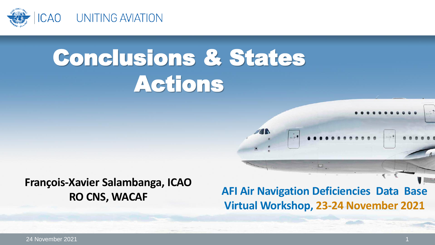

# Conclusions & States **Actions**

#### **François-Xavier Salambanga, ICAO RO CNS, WACAF**

**AFI Air Navigation Deficiencies Data Base Virtual Workshop, 23-24 November 2021**

 $m + 1 = 0$ 

24 November 2021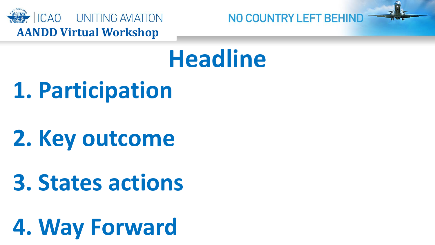

# **Headline**

**1. Participation**

# **2. Key outcome**

### **3. States actions**

# **4. Way Forward**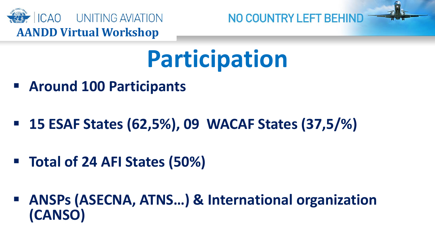

# **Participation**

- **Around 100 Participants**
- **15 ESAF States (62,5%), 09 WACAF States (37,5/%)**
- **Total of 24 AFI States (50%)**
- **ANSPs (ASECNA, ATNS…) & International organization (CANSO)**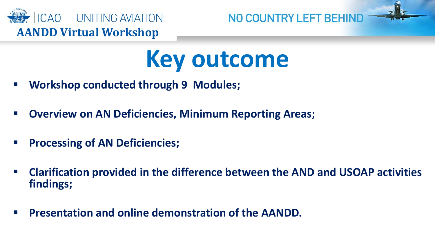

# **Key outcome**

- **Workshop conducted through 9 Modules;**
- **Overview on AN Deficiencies, Minimum Reporting Areas;**
- **PROCESSING OF AN Deficiencies;**
- **Clarification provided in the difference between the AND and USOAP activities findings;**
- **Presentation and online demonstration of the AANDD.**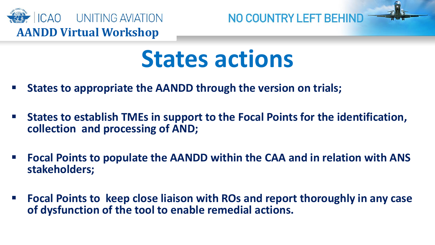

# **States actions**

- **States to appropriate the AANDD through the version on trials;**
- **States to establish TMEs in support to the Focal Points for the identification, collection and processing of AND;**
- **Focal Points to populate the AANDD within the CAA and in relation with ANS stakeholders;**
- **Focal Points to keep close liaison with ROs and report thoroughly in any case of dysfunction of the tool to enable remedial actions.**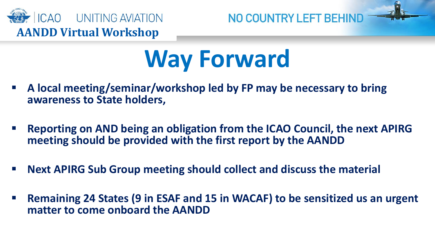

# **Way Forward**

- **A local meeting/seminar/workshop led by FP may be necessary to bring awareness to State holders,**
- **Reporting on AND being an obligation from the ICAO Council, the next APIRG meeting should be provided with the first report by the AANDD**
- **Next APIRG Sub Group meeting should collect and discuss the material**
- **Remaining 24 States (9 in ESAF and 15 in WACAF) to be sensitized us an urgent matter to come onboard the AANDD**